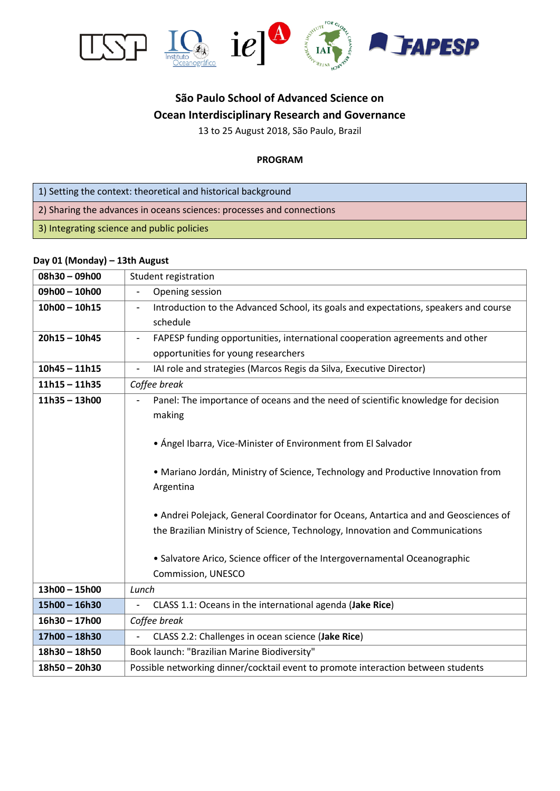

# **São Paulo School of Advanced Science on Ocean Interdisciplinary Research and Governance**

13 to 25 August 2018, São Paulo, Brazil

#### **PROGRAM**

- 1) Setting the context: theoretical and historical background
- 2) Sharing the advances in oceans sciences: processes and connections
- 3) Integrating science and public policies

#### **Day 01 (Monday) – 13th August**

| 08h30-09h00     | Student registration                                                                                                                                                                                                                                                                                                                                                                                                                 |
|-----------------|--------------------------------------------------------------------------------------------------------------------------------------------------------------------------------------------------------------------------------------------------------------------------------------------------------------------------------------------------------------------------------------------------------------------------------------|
| 09h00 - 10h00   | Opening session                                                                                                                                                                                                                                                                                                                                                                                                                      |
| $10h00 - 10h15$ | Introduction to the Advanced School, its goals and expectations, speakers and course<br>$\overline{\phantom{a}}$<br>schedule                                                                                                                                                                                                                                                                                                         |
| $20h15 - 10h45$ | FAPESP funding opportunities, international cooperation agreements and other<br>opportunities for young researchers                                                                                                                                                                                                                                                                                                                  |
| $10h45 - 11h15$ | IAI role and strategies (Marcos Regis da Silva, Executive Director)<br>$\overline{\phantom{a}}$                                                                                                                                                                                                                                                                                                                                      |
| $11h15 - 11h35$ | Coffee break                                                                                                                                                                                                                                                                                                                                                                                                                         |
| $11h35 - 13h00$ | Panel: The importance of oceans and the need of scientific knowledge for decision<br>making<br>• Ángel Ibarra, Vice-Minister of Environment from El Salvador<br>. Mariano Jordán, Ministry of Science, Technology and Productive Innovation from<br>Argentina<br>• Andrei Polejack, General Coordinator for Oceans, Antartica and and Geosciences of<br>the Brazilian Ministry of Science, Technology, Innovation and Communications |
|                 | • Salvatore Arico, Science officer of the Intergovernamental Oceanographic<br>Commission, UNESCO                                                                                                                                                                                                                                                                                                                                     |
| 13h00 - 15h00   | Lunch                                                                                                                                                                                                                                                                                                                                                                                                                                |
| $15h00 - 16h30$ | CLASS 1.1: Oceans in the international agenda (Jake Rice)                                                                                                                                                                                                                                                                                                                                                                            |
| $16h30 - 17h00$ | Coffee break                                                                                                                                                                                                                                                                                                                                                                                                                         |
| 17h00 - 18h30   | CLASS 2.2: Challenges in ocean science (Jake Rice)                                                                                                                                                                                                                                                                                                                                                                                   |
| $18h30 - 18h50$ | Book launch: "Brazilian Marine Biodiversity"                                                                                                                                                                                                                                                                                                                                                                                         |
| 18h50 - 20h30   | Possible networking dinner/cocktail event to promote interaction between students                                                                                                                                                                                                                                                                                                                                                    |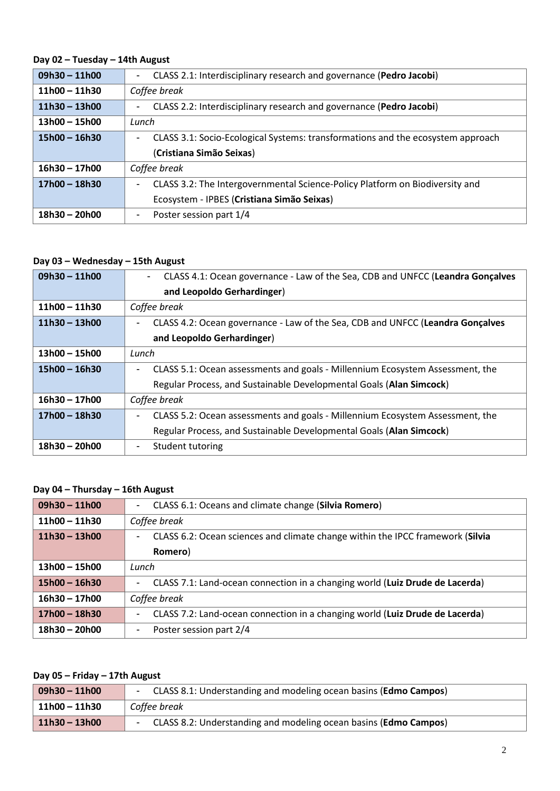# **Day 02 – Tuesday – 14th August**

| $09h30 - 11h00$ | CLASS 2.1: Interdisciplinary research and governance (Pedro Jacobi)<br>$\blacksquare$                       |
|-----------------|-------------------------------------------------------------------------------------------------------------|
| $11h00 - 11h30$ | Coffee break                                                                                                |
| $11h30 - 13h00$ | CLASS 2.2: Interdisciplinary research and governance (Pedro Jacobi)                                         |
| $13h00 - 15h00$ | Lunch                                                                                                       |
| $15h00 - 16h30$ | CLASS 3.1: Socio-Ecological Systems: transformations and the ecosystem approach<br>$\overline{\phantom{0}}$ |
|                 | (Cristiana Simão Seixas)                                                                                    |
| $16h30 - 17h00$ | Coffee break                                                                                                |
| $17h00 - 18h30$ | CLASS 3.2: The Intergovernmental Science-Policy Platform on Biodiversity and<br>$\overline{\phantom{0}}$    |
|                 | Ecosystem - IPBES (Cristiana Simão Seixas)                                                                  |
| $18h30 - 20h00$ | Poster session part 1/4                                                                                     |

### **Day 03 – Wednesday – 15th August**

| $09h30 - 11h00$ | CLASS 4.1: Ocean governance - Law of the Sea, CDB and UNFCC (Leandra Gonçalves<br>$\sim$                  |
|-----------------|-----------------------------------------------------------------------------------------------------------|
|                 | and Leopoldo Gerhardinger)                                                                                |
| $11h00 - 11h30$ | Coffee break                                                                                              |
| $11h30 - 13h00$ | CLASS 4.2: Ocean governance - Law of the Sea, CDB and UNFCC (Leandra Gonçalves                            |
|                 | and Leopoldo Gerhardinger)                                                                                |
| $13h00 - 15h00$ | Lunch                                                                                                     |
| $15h00 - 16h30$ | CLASS 5.1: Ocean assessments and goals - Millennium Ecosystem Assessment, the                             |
|                 | Regular Process, and Sustainable Developmental Goals (Alan Simcock)                                       |
| $16h30 - 17h00$ | Coffee break                                                                                              |
| $17h00 - 18h30$ | CLASS 5.2: Ocean assessments and goals - Millennium Ecosystem Assessment, the<br>$\overline{\phantom{a}}$ |
|                 | Regular Process, and Sustainable Developmental Goals (Alan Simcock)                                       |
| $18h30 - 20h00$ | Student tutoring                                                                                          |

# **Day 04 – Thursday – 16th August**

| $09h30 - 11h00$ | CLASS 6.1: Oceans and climate change (Silvia Romero)<br>$\sim$                      |
|-----------------|-------------------------------------------------------------------------------------|
| $11h00 - 11h30$ | Coffee break                                                                        |
| $11h30 - 13h00$ | CLASS 6.2: Ocean sciences and climate change within the IPCC framework (Silvia<br>- |
|                 | Romero)                                                                             |
| $13h00 - 15h00$ | Lunch                                                                               |
| $15h00 - 16h30$ | CLASS 7.1: Land-ocean connection in a changing world (Luiz Drude de Lacerda)        |
| $16h30 - 17h00$ | Coffee break                                                                        |
| $17h00 - 18h30$ | CLASS 7.2: Land-ocean connection in a changing world (Luiz Drude de Lacerda)<br>-   |
| $18h30 - 20h00$ | Poster session part 2/4<br>-                                                        |

# **Day 05 – Friday – 17th August**

| $09h30 - 11h00$ | CLASS 8.1: Understanding and modeling ocean basins (Edmo Campos)          |
|-----------------|---------------------------------------------------------------------------|
| $11h00 - 11h30$ | Coffee break                                                              |
| $11h30 - 13h00$ | CLASS 8.2: Understanding and modeling ocean basins ( <b>Edmo Campos</b> ) |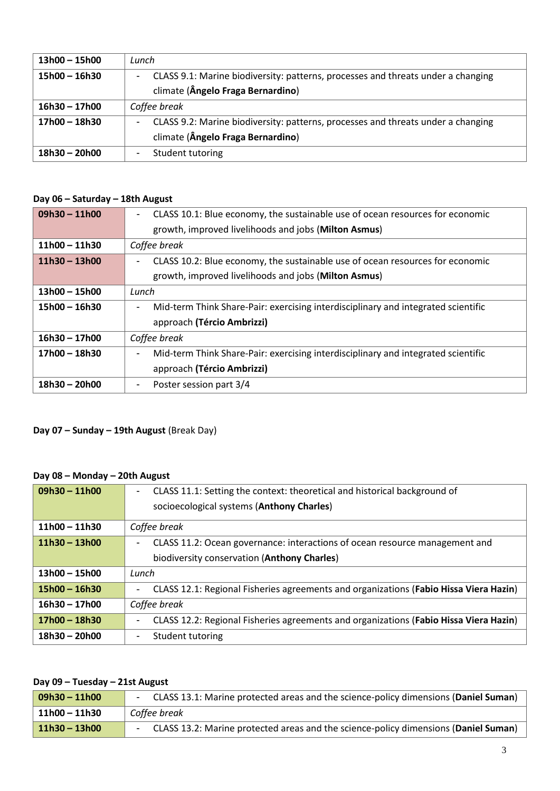| $13h00 - 15h00$ | Lunch                                                                            |
|-----------------|----------------------------------------------------------------------------------|
| $15h00 - 16h30$ | CLASS 9.1: Marine biodiversity: patterns, processes and threats under a changing |
|                 | climate (Ângelo Fraga Bernardino)                                                |
| $16h30 - 17h00$ | Coffee break                                                                     |
| 17h00 - 18h30   | CLASS 9.2: Marine biodiversity: patterns, processes and threats under a changing |
|                 | climate (Ângelo Fraga Bernardino)                                                |
| 18h30 - 20h00   | Student tutoring                                                                 |

# **Day 06 – Saturday – 18th August**

| $09h30 - 11h00$ | CLASS 10.1: Blue economy, the sustainable use of ocean resources for economic<br>$\overline{\phantom{a}}$     |
|-----------------|---------------------------------------------------------------------------------------------------------------|
|                 | growth, improved livelihoods and jobs (Milton Asmus)                                                          |
| $11h00 - 11h30$ | Coffee break                                                                                                  |
| $11h30 - 13h00$ | CLASS 10.2: Blue economy, the sustainable use of ocean resources for economic                                 |
|                 | growth, improved livelihoods and jobs (Milton Asmus)                                                          |
| $13h00 - 15h00$ | Lunch                                                                                                         |
| $15h00 - 16h30$ | Mid-term Think Share-Pair: exercising interdisciplinary and integrated scientific                             |
|                 | approach (Tércio Ambrizzi)                                                                                    |
| $16h30 - 17h00$ | Coffee break                                                                                                  |
| $17h00 - 18h30$ | Mid-term Think Share-Pair: exercising interdisciplinary and integrated scientific<br>$\overline{\phantom{a}}$ |
|                 | approach (Tércio Ambrizzi)                                                                                    |
| 18h30 - 20h00   | Poster session part 3/4                                                                                       |

# **Day 07 – Sunday – 19th August** (Break Day)

## **Day 08 – Monday – 20th August**

| $09h30 - 11h00$ | CLASS 11.1: Setting the context: theoretical and historical background of<br>$\overline{\phantom{a}}$<br>socioecological systems (Anthony Charles) |
|-----------------|----------------------------------------------------------------------------------------------------------------------------------------------------|
| $11h00 - 11h30$ | Coffee break                                                                                                                                       |
| $11h30 - 13h00$ | CLASS 11.2: Ocean governance: interactions of ocean resource management and                                                                        |
|                 | biodiversity conservation (Anthony Charles)                                                                                                        |
| $13h00 - 15h00$ | Lunch                                                                                                                                              |
| $15h00 - 16h30$ | CLASS 12.1: Regional Fisheries agreements and organizations (Fabio Hissa Viera Hazin)                                                              |
| $16h30 - 17h00$ | Coffee break                                                                                                                                       |
| $17h00 - 18h30$ | CLASS 12.2: Regional Fisheries agreements and organizations (Fabio Hissa Viera Hazin)                                                              |
| $18h30 - 20h00$ | Student tutoring                                                                                                                                   |

### **Day 09 – Tuesday – 21st August**

| $  09h30 - 11h00$ | - CLASS 13.1: Marine protected areas and the science-policy dimensions (Daniel Suman) |
|-------------------|---------------------------------------------------------------------------------------|
| 11h00 - 11h30     | Coffee break                                                                          |
| $11h30 - 13h00$   | CLASS 13.2: Marine protected areas and the science-policy dimensions (Daniel Suman)   |